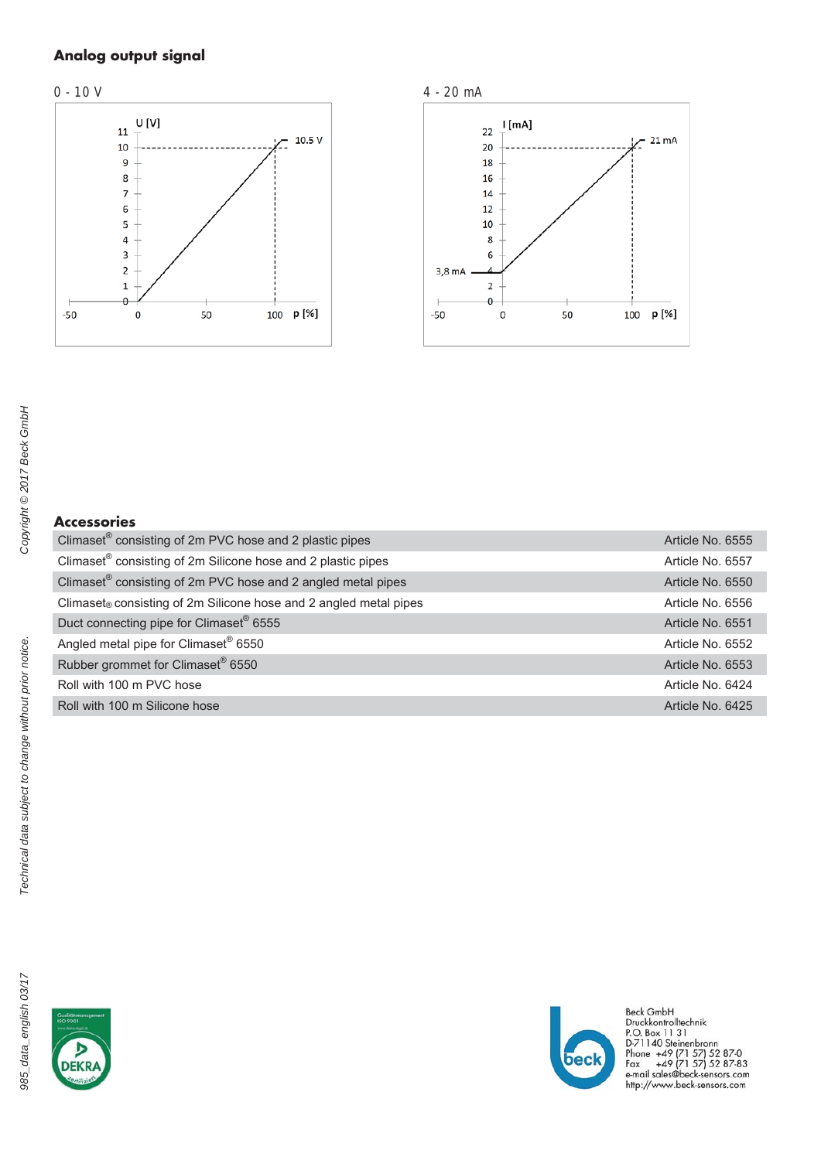# Analog output signal





# Accessories

| Article No. 6555 |  |
|------------------|--|
| Article No. 6557 |  |
| Article No. 6550 |  |
| Article No. 6556 |  |
| Article No. 6551 |  |
| Article No. 6552 |  |
| Article No. 6553 |  |
| Article No. 6424 |  |
| Article No. 6425 |  |
|                  |  |

Technical data subject to change without prior notice.





Beck GmbH<br>Druckkontrolltechnik<br>P.O. Box 11 31<br>D-71140 Steinenbronn<br>Phone +49 (71 57) 52 87-0<br>Fax +49 (71 57) 52 87-83<br>e-mail sales@beck-sensors.com<br>http://www.beck-sensors.com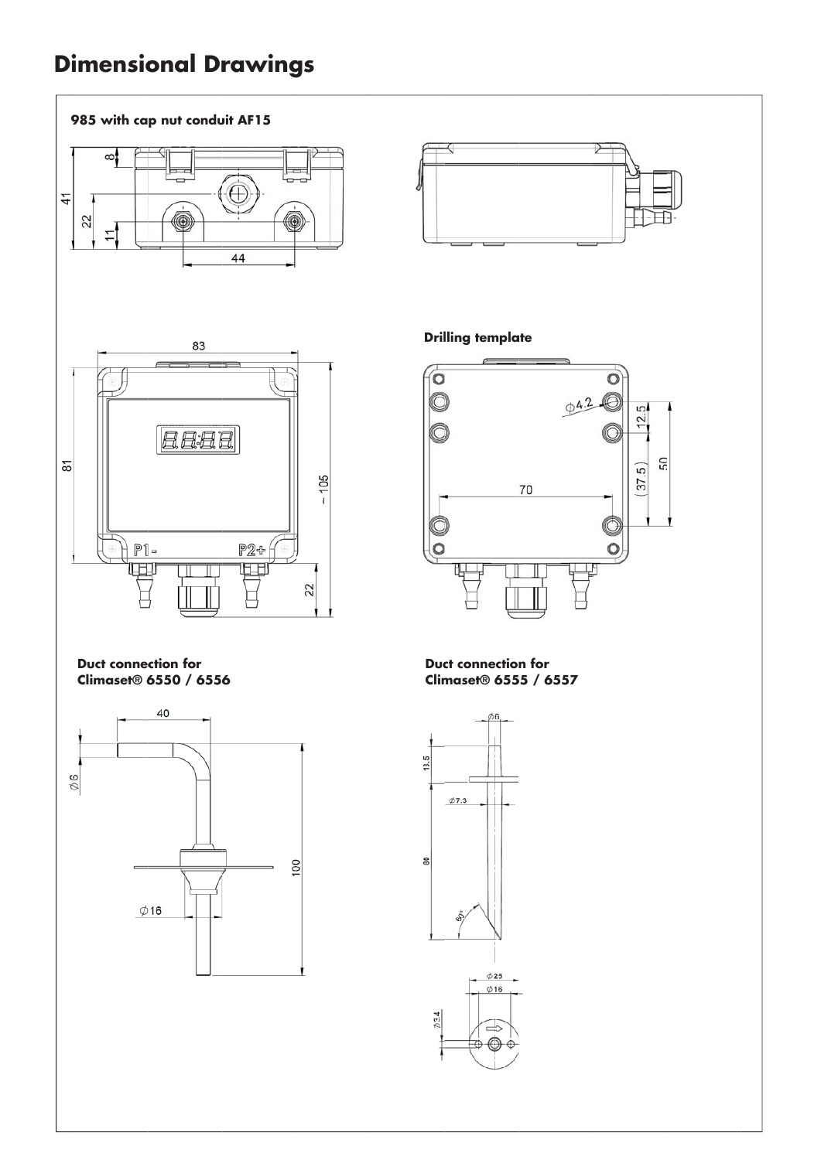# **Dimensional Drawings**

### 985 with cap nut conduit AF15



 $0/16$ 

 $\frac{1}{2}$ 



**Drilling template** 



**Duct connection for** Climaset® 6555 / 6557

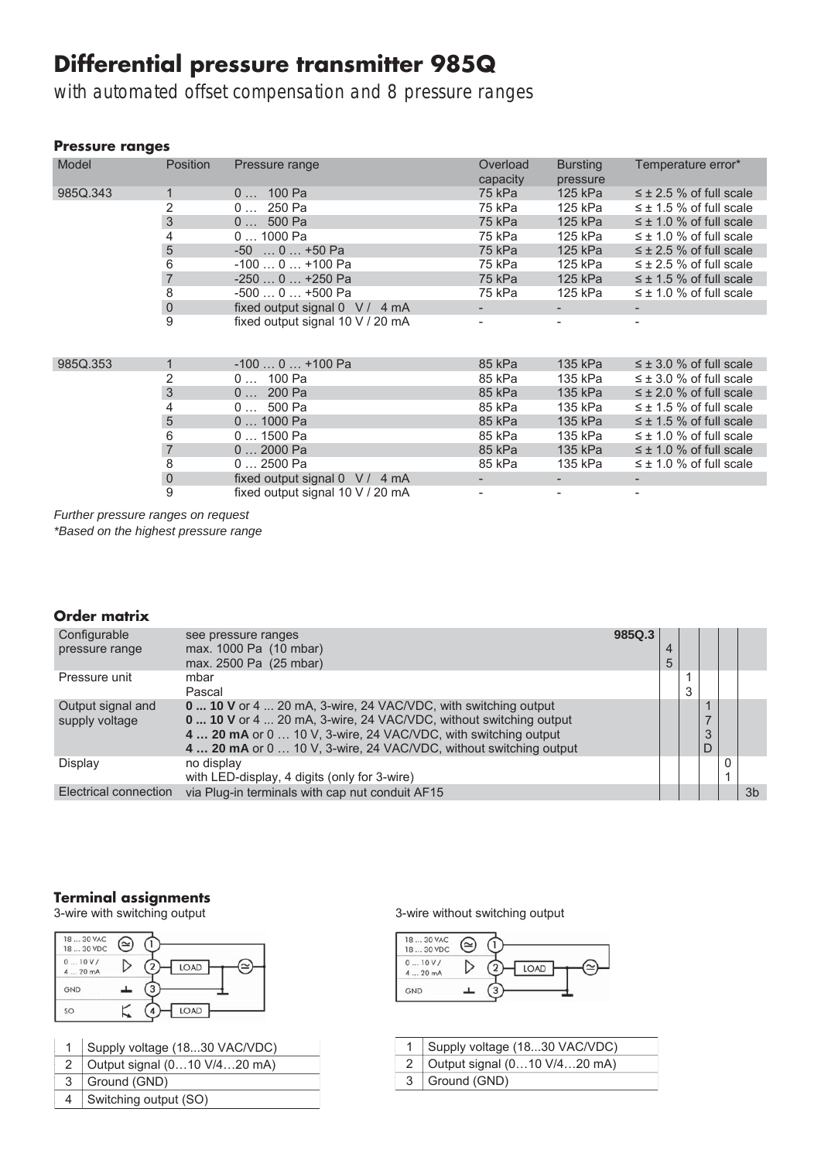# Differential pressure transmitter 985Q

with automated offset compensation and 8 pressure ranges

### Pressure ranges

| Model    | <b>Position</b>           | Pressure range                                 | Overload | <b>Bursting</b> | Temperature error*             |
|----------|---------------------------|------------------------------------------------|----------|-----------------|--------------------------------|
|          |                           |                                                | capacity | pressure        |                                |
| 985Q.343 | 1                         | $0$ 100 Pa                                     | 75 kPa   | 125 kPa         | $\leq \pm 2.5$ % of full scale |
|          | 2                         | 0  250 Pa                                      | 75 kPa   | 125 kPa         | $\leq \pm 1.5$ % of full scale |
|          | 3                         | $0 500$ Pa                                     | 75 kPa   | 125 kPa         | $\leq \pm$ 1.0 % of full scale |
|          | 4                         | $01000$ Pa                                     | 75 kPa   | 125 kPa         | $\leq \pm$ 1.0 % of full scale |
|          | 5                         | $-50$ 0 $+50$ Pa                               | 75 kPa   | 125 kPa         | $\leq \pm 2.5$ % of full scale |
|          | 6                         | -100  0  +100 Pa                               | 75 kPa   | 125 kPa         | $\leq \pm 2.5$ % of full scale |
|          | $\overline{7}$            | -250  0  +250 Pa                               | 75 kPa   | 125 kPa         | $\leq \pm 1.5$ % of full scale |
|          | 8                         | $-5000+500$ Pa                                 | 75 kPa   | 125 kPa         | $\leq \pm$ 1.0 % of full scale |
|          | $\mathsf{O}\xspace$       | fixed output signal $0 \quad V / 4 \text{ mA}$ |          |                 |                                |
|          | 9                         | fixed output signal 10 V / 20 mA               |          |                 |                                |
|          |                           |                                                |          |                 |                                |
|          |                           |                                                |          |                 |                                |
| 985Q.353 | 1                         | $-1000+100$ Pa                                 | 85 kPa   | 135 kPa         | $\leq \pm 3.0$ % of full scale |
|          | 2                         | $0$ 100 Pa                                     | 85 kPa   | 135 kPa         | $\leq \pm 3.0$ % of full scale |
|          | $\ensuremath{\mathsf{3}}$ | 0  200 Pa                                      | 85 kPa   | 135 kPa         | $\leq \pm 2.0$ % of full scale |
|          | 4                         | $0 500$ Pa                                     | 85 kPa   | 135 kPa         | $\leq \pm 1.5$ % of full scale |
|          | $\overline{5}$            | $01000$ Pa                                     | 85 kPa   | 135 kPa         | $\leq \pm 1.5$ % of full scale |
|          | 6                         | $01500$ Pa                                     | 85 kPa   | 135 kPa         | $\leq \pm$ 1.0 % of full scale |
|          | $\overline{7}$            | $02000$ Pa                                     | 85 kPa   | 135 kPa         | $\leq \pm$ 1.0 % of full scale |
|          | 8                         | $02500$ Pa                                     | 85 kPa   | 135 kPa         | $\leq \pm$ 1.0 % of full scale |
|          | $\mathsf{O}\xspace$       | fixed output signal $0 \quad V / 4 \text{ mA}$ | ۰.       |                 |                                |
|          | 9                         | fixed output signal 10 V / 20 mA               |          |                 |                                |

*Further pressure ranges on request*

*\*Based on the highest pressure range*

### Order matrix

| Configurable<br>pressure range      | see pressure ranges<br>max. 1000 Pa (10 mbar)<br>max. 2500 Pa (25 mbar)                                                                                                                                                                                                    | 985Q.3 | 5 |   |        |    |
|-------------------------------------|----------------------------------------------------------------------------------------------------------------------------------------------------------------------------------------------------------------------------------------------------------------------------|--------|---|---|--------|----|
| Pressure unit                       | mbar<br>Pascal                                                                                                                                                                                                                                                             |        |   | 3 |        |    |
| Output signal and<br>supply voltage | 0  10 V or 4  20 mA, 3-wire, 24 VAC/VDC, with switching output<br>0  10 V or 4  20 mA, 3-wire, 24 VAC/VDC, without switching output<br>4  20 mA or 0  10 V, 3-wire, 24 VAC/VDC, with switching output<br>4  20 mA or 0  10 V, 3-wire, 24 VAC/VDC, without switching output |        |   |   | 3<br>D |    |
| Display                             | no display<br>with LED-display, 4 digits (only for 3-wire)                                                                                                                                                                                                                 |        |   |   |        |    |
| <b>Electrical connection</b>        | via Plug-in terminals with cap nut conduit AF15                                                                                                                                                                                                                            |        |   |   |        | 3b |

# **Terminal assignments**<br>3-wire with switching output



|   | Supply voltage (1830 VAC/VDC) |
|---|-------------------------------|
|   | Output signal (010 V/420 mA)  |
| 3 | Ground (GND)                  |
| 4 | Switching output (SO)         |

3-wire without switching output



| 1   Supply voltage (1830 VAC/VDC)                  |
|----------------------------------------------------|
| 2   Output signal $(010 \text{ V}/420 \text{ mA})$ |
| 3 Ground (GND)                                     |
|                                                    |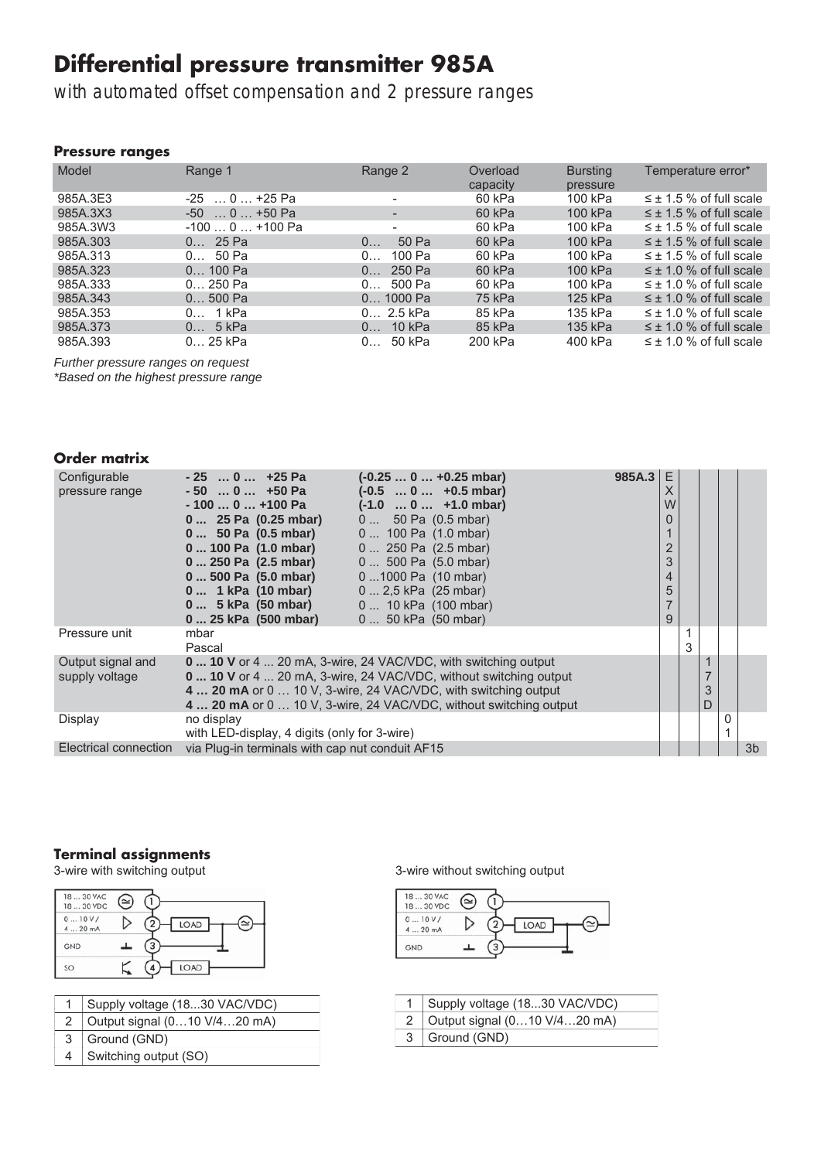# Differential pressure transmitter 985A

with automated offset compensation and 2 pressure ranges

### Pressure ranges

| Model    | Range 1          | Range 2                  | Overload<br>capacity | <b>Bursting</b><br>pressure | Temperature error*             |
|----------|------------------|--------------------------|----------------------|-----------------------------|--------------------------------|
| 985A.3E3 | $-25$ 0  +25 Pa  |                          | 60 kPa               | 100 kPa                     | $\leq \pm$ 1.5 % of full scale |
| 985A.3X3 | $-50$ 0 $+50$ Pa |                          | 60 kPa               | 100 kPa                     | $\leq \pm$ 1.5 % of full scale |
| 985A.3W3 | $-1000+100$ Pa   | $\overline{\phantom{a}}$ | 60 kPa               | 100 kPa                     | $\leq \pm 1.5$ % of full scale |
| 985A.303 | 25 Pa<br>0       | 50 Pa<br>0               | 60 kPa               | 100 kPa                     | $\leq \pm$ 1.5 % of full scale |
| 985A.313 | 50 Pa<br>0       | 100 Pa<br>0              | 60 kPa               | 100 kPa                     | $\leq \pm 1.5$ % of full scale |
| 985A.323 | $0 100$ Pa       | 250 Pa<br>0              | 60 kPa               | 100 kPa                     | $\leq \pm$ 1.0 % of full scale |
| 985A.333 | $0 250$ Pa       | 500 Pa<br>0              | 60 kPa               | 100 kPa                     | $\leq \pm$ 1.0 % of full scale |
| 985A.343 | $0500$ Pa        | $0$ 1000 Pa              | 75 kPa               | 125 kPa                     | $\leq \pm$ 1.0 % of full scale |
| 985A.353 | 1 kPa<br>0       | $0 2.5$ kPa              | 85 kPa               | 135 kPa                     | $\leq \pm$ 1.0 % of full scale |
| 985A.373 | 5 kPa<br>0       | $10$ kPa<br>0            | 85 kPa               | 135 kPa                     | $\leq \pm$ 1.0 % of full scale |
| 985A.393 | $025$ kPa        | 50 kPa<br>0              | 200 kPa              | 400 kPa                     | $\leq \pm$ 1.0 % of full scale |

*Further pressure ranges on request \*Based on the highest pressure range*

## Order matrix

| Configurable          | $-25$ 0  +25 Pa                                 | $(-0.250+0.25$ mbar)                                                    | 985A.3 | F |   |                |
|-----------------------|-------------------------------------------------|-------------------------------------------------------------------------|--------|---|---|----------------|
| pressure range        | $-50$ 0 $+50$ Pa                                | $(-0.5 \ldots 0 \ldots +0.5 \text{ mbar})$                              |        | Χ |   |                |
|                       | - 100  0  +100 Pa                               | $(-1.0 \ldots 0 \ldots +1.0 \text{ mbar})$                              |        | W |   |                |
|                       | 0  25 Pa (0.25 mbar)                            | $0$ 50 Pa $(0.5 \text{ mbar})$                                          |        |   |   |                |
|                       | 0 50 Pa (0.5 mbar)                              | $0$ 100 Pa $(1.0 \text{ mbar})$                                         |        |   |   |                |
|                       | 0  100 Pa (1.0 mbar)                            | $0$ 250 Pa $(2.5 \text{ mbar})$                                         |        |   |   |                |
|                       | 0  250 Pa (2.5 mbar)                            | $0 500$ Pa $(5.0$ mbar)                                                 |        | 3 |   |                |
|                       | 0  500 Pa (5.0 mbar)                            | 01000 Pa (10 mbar)                                                      |        | 4 |   |                |
|                       | 0  1 kPa (10 mbar)                              | $0 2.5$ kPa $(25$ mbar)                                                 |        | 5 |   |                |
|                       | 0 5 kPa (50 mbar)                               | 0  10 kPa (100 mbar)                                                    |        |   |   |                |
|                       | 0  25 kPa (500 mbar)                            | 0  50 kPa (50 mbar)                                                     |        | 9 |   |                |
| Pressure unit         | mbar                                            |                                                                         |        |   |   |                |
|                       | Pascal                                          |                                                                         |        |   |   |                |
| Output signal and     |                                                 | <b>0 10 V</b> or 4  20 mA, 3-wire, 24 VAC/VDC, with switching output    |        |   |   |                |
| supply voltage        |                                                 | <b>0 10 V</b> or 4  20 mA, 3-wire, 24 VAC/VDC, without switching output |        |   |   |                |
|                       |                                                 | 4  20 mA or 0  10 V, 3-wire, 24 VAC/VDC, with switching output          |        |   | 3 |                |
|                       |                                                 | 4  20 mA or 0  10 V, 3-wire, 24 VAC/VDC, without switching output       |        |   | D |                |
| Display               | no display                                      |                                                                         |        |   |   |                |
|                       | with LED-display, 4 digits (only for 3-wire)    |                                                                         |        |   |   |                |
| Electrical connection | via Plug-in terminals with cap nut conduit AF15 |                                                                         |        |   |   | 3 <sub>b</sub> |

# **Terminal assignments**<br>3-wire with switching output

| 1830 VAC<br>18  30 VDC | (≃ |      |
|------------------------|----|------|
| 010V/<br>420 mA        |    | LOAD |
| GND                    |    |      |
| SO                     |    | LOAD |

|                | 1   Supply voltage (1830 VAC/VDC) |
|----------------|-----------------------------------|
| 2              | Output signal (010 V/420 mA)      |
| $\mathcal{S}$  | Ground (GND)                      |
| $\overline{4}$ | Switching output (SO)             |

## 3-wire without switching output



| 1   Supply voltage (1830 VAC/VDC) |
|-----------------------------------|
| 2 Output signal (010 V/420 mA)    |
| 3 Ground (GND)                    |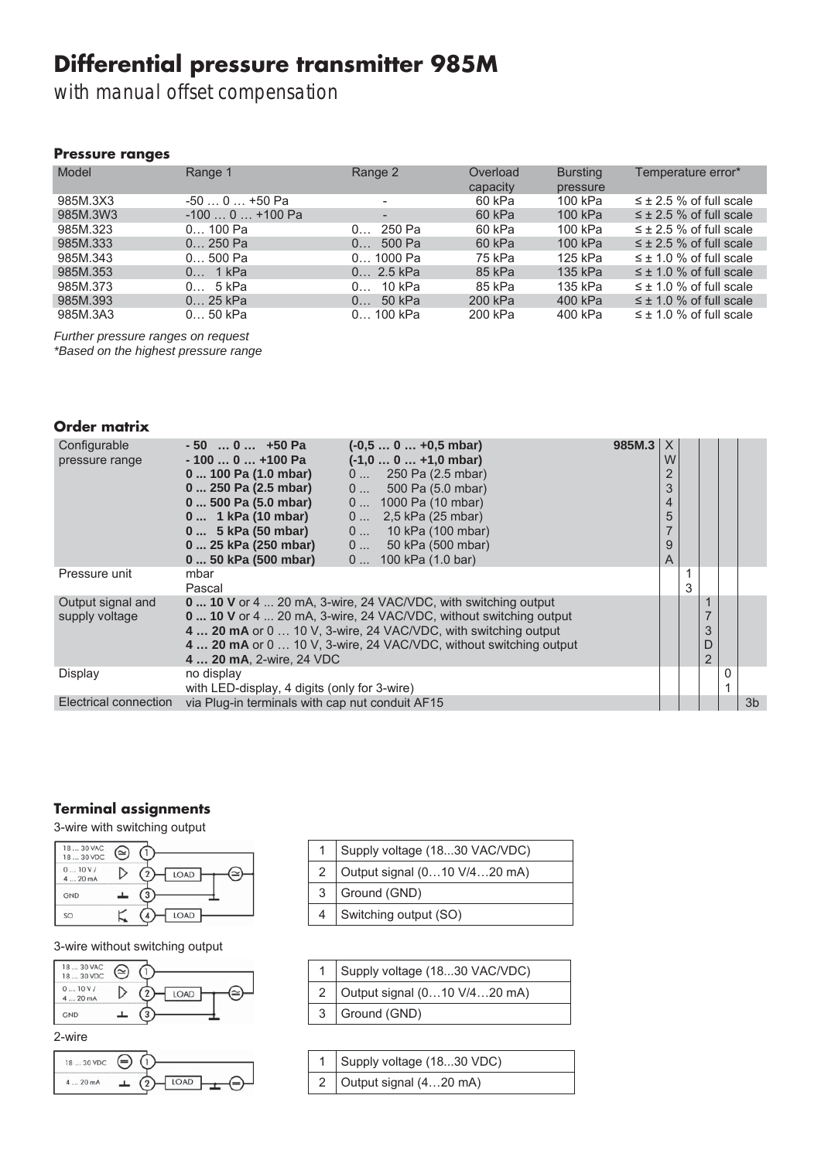# Differential pressure transmitter 985M

with manual offset compensation

### Pressure ranges

| Model    | Range 1        | Range 2     | Overload<br>capacity | <b>Bursting</b><br>pressure | Temperature error*             |
|----------|----------------|-------------|----------------------|-----------------------------|--------------------------------|
| 985M.3X3 | $-500+50$ Pa   |             | 60 kPa               | 100 kPa                     | $\leq \pm 2.5$ % of full scale |
| 985M.3W3 | $-1000+100$ Pa |             | 60 kPa               | 100 kPa                     | $\leq \pm 2.5$ % of full scale |
| 985M.323 | $0 100$ Pa     | 250 Pa<br>0 | 60 kPa               | 100 kPa                     | $\leq \pm 2.5$ % of full scale |
| 985M.333 | $0 250$ Pa     | 500 Pa<br>0 | 60 kPa               | 100 kPa                     | $\leq \pm 2.5$ % of full scale |
| 985M.343 | $0500$ Pa      | $0 1000$ Pa | 75 kPa               | 125 kPa                     | $\leq \pm 1.0$ % of full scale |
| 985M.353 | 0 1 kPa        | 0 2.5 kPa   | 85 kPa               | 135 kPa                     | $\leq \pm 1.0$ % of full scale |
| 985M.373 | 0 5 kPa        | 10 kPa<br>0 | 85 kPa               | 135 kPa                     | $\leq \pm 1.0$ % of full scale |
| 985M.393 | 0 25 kPa       | 50 kPa<br>0 | 200 kPa              | 400 kPa                     | $\leq \pm 1.0$ % of full scale |
| 985M.3A3 | $050$ kPa      | $0$ 100 kPa | 200 kPa              | 400 kPa                     | $\leq \pm 1.0$ % of full scale |

*Further pressure ranges on request \*Based on the highest pressure range*

### Order matrix

| Configurable                 | $(-0.50+0.5$ mbar)<br>$-50$ 0 $+50$ Pa                                 | $985M.3$ $\times$ |   |   |   |                |
|------------------------------|------------------------------------------------------------------------|-------------------|---|---|---|----------------|
| pressure range               | $(-1,00+1,0$ mbar)<br>- 100  0  +100 Pa                                |                   | W |   |   |                |
|                              | $0$ 250 Pa (2.5 mbar)<br>0  100 Pa (1.0 mbar)                          |                   |   |   |   |                |
|                              | $0$ 500 Pa (5.0 mbar)<br>0  250 Pa (2.5 mbar)                          |                   | 3 |   |   |                |
|                              | 0  500 Pa (5.0 mbar)<br>$0$ 1000 Pa (10 mbar)                          |                   | 4 |   |   |                |
|                              | 0  1 kPa (10 mbar)<br>$0$ 2.5 kPa (25 mbar)                            |                   | 5 |   |   |                |
|                              | 0  5 kPa (50 mbar)<br>$0$ 10 kPa (100 mbar)                            |                   |   |   |   |                |
|                              | $0$ 50 kPa (500 mbar)<br>0  25 kPa (250 mbar)                          |                   | 9 |   |   |                |
|                              | 0  50 kPa (500 mbar)<br>$0$ 100 kPa $(1.0 \text{ bar})$                |                   | A |   |   |                |
| Pressure unit                | mbar                                                                   |                   |   |   |   |                |
|                              | Pascal                                                                 |                   |   | 3 |   |                |
| Output signal and            | <b>0 10 V</b> or 4  20 mA, 3-wire, 24 VAC/VDC, with switching output   |                   |   |   |   |                |
| supply voltage               | <b>0 10 V</b> or 4 20 mA, 3-wire, 24 VAC/VDC, without switching output |                   |   |   |   |                |
|                              | 4  20 mA or 0  10 V, 3-wire, 24 VAC/VDC, with switching output         |                   |   |   | 3 |                |
|                              | 4  20 mA or 0  10 V, 3-wire, 24 VAC/VDC, without switching output      |                   |   |   | D |                |
|                              | 4  20 mA, 2-wire, 24 VDC                                               |                   |   |   | 2 |                |
| Display                      | no display                                                             |                   |   |   |   |                |
|                              | with LED-display, 4 digits (only for 3-wire)                           |                   |   |   |   |                |
| <b>Electrical connection</b> | via Plug-in terminals with cap nut conduit AF15                        |                   |   |   |   | 3 <sub>b</sub> |

### Terminal assignments

3-wire with switching output

| 18<br>30 VAC<br>1830 VDC |      |
|--------------------------|------|
| 010V/<br>4  20 mA        | LOAD |
| GND                      |      |
| SO                       | LOAD |

#### 3-wire without switching output





|   | Supply voltage (1830 VAC/VDC) |  |  |
|---|-------------------------------|--|--|
| 2 | Output signal (010 V/420 mA)  |  |  |
| 3 | Ground (GND)                  |  |  |
|   | Switching output (SO)         |  |  |

| Supply voltage (1830 VAC/VDC)  |  |  |
|--------------------------------|--|--|
| 2 Output signal (010 V/420 mA) |  |  |
| 3 Ground (GND)                 |  |  |

| 1   Supply voltage (1830 VDC)      |
|------------------------------------|
| 2 Output signal $(420 \text{ mA})$ |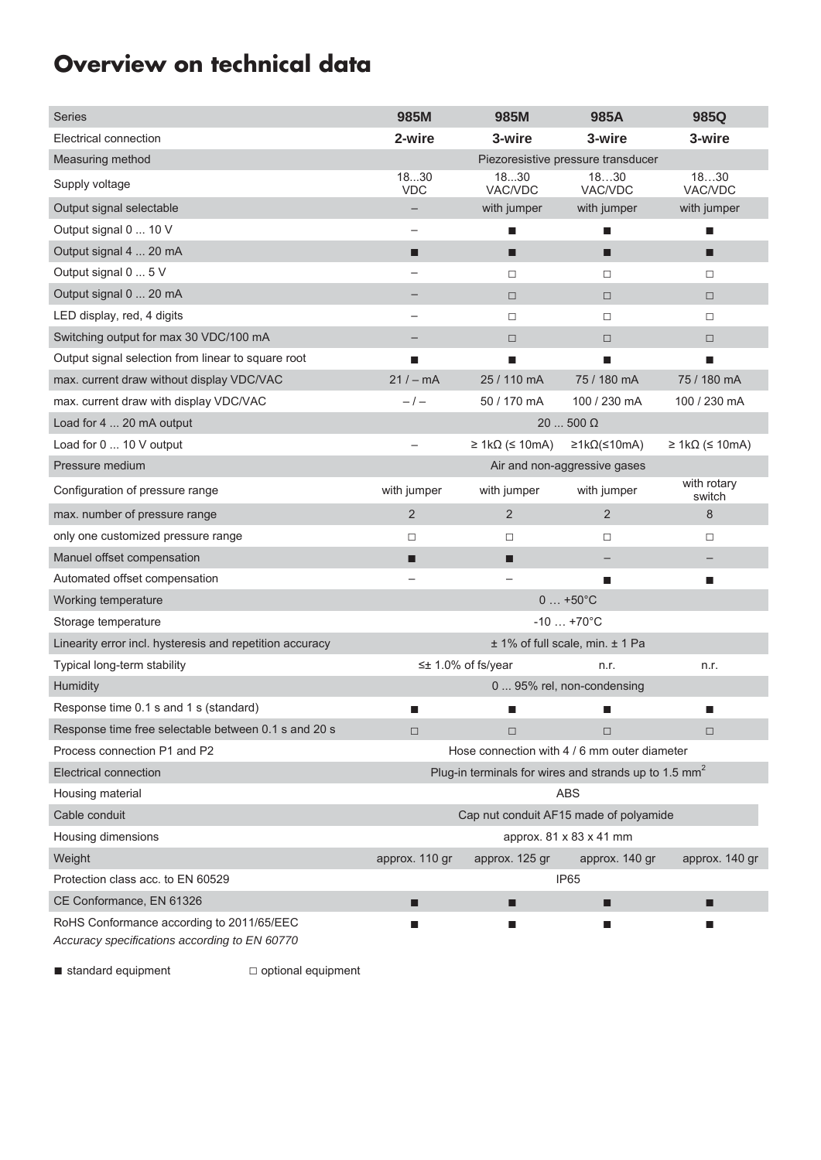# Overview on technical data

| <b>Series</b>                                                                              | 985M                                                    | 985M                              | 985A                            | 985Q                              |  |
|--------------------------------------------------------------------------------------------|---------------------------------------------------------|-----------------------------------|---------------------------------|-----------------------------------|--|
| Electrical connection                                                                      | 2-wire                                                  | 3-wire                            | 3-wire                          | 3-wire                            |  |
| Measuring method                                                                           | Piezoresistive pressure transducer                      |                                   |                                 |                                   |  |
| Supply voltage                                                                             | 1830<br><b>VDC</b>                                      | 1830<br>VAC/VDC                   | 1830<br>VAC/VDC                 | 1830<br>VAC/VDC                   |  |
| Output signal selectable                                                                   |                                                         | with jumper                       | with jumper                     | with jumper                       |  |
| Output signal 0  10 V                                                                      |                                                         | ■                                 | ■                               | п                                 |  |
| Output signal 4  20 mA                                                                     | ■                                                       | п                                 | П                               | ■                                 |  |
| Output signal 0  5 V                                                                       |                                                         | $\Box$                            | $\Box$                          | $\Box$                            |  |
| Output signal 0  20 mA                                                                     |                                                         | $\Box$                            | $\Box$                          | $\Box$                            |  |
| LED display, red, 4 digits                                                                 |                                                         | $\Box$                            | $\Box$                          | $\Box$                            |  |
| Switching output for max 30 VDC/100 mA                                                     |                                                         | $\Box$                            | $\Box$                          | $\Box$                            |  |
| Output signal selection from linear to square root                                         | п                                                       | ш                                 | ▄                               | ш                                 |  |
| max. current draw without display VDC/VAC                                                  | $21 / - mA$                                             | 25 / 110 mA                       | 75 / 180 mA                     | 75 / 180 mA                       |  |
| max. current draw with display VDC/VAC                                                     | $-/-$                                                   | 50 / 170 mA                       | 100 / 230 mA                    | 100 / 230 mA                      |  |
| Load for 4  20 mA output                                                                   |                                                         |                                   | $20500 \Omega$                  |                                   |  |
| Load for 0  10 V output                                                                    |                                                         | $\geq$ 1k $\Omega$ ( $\leq$ 10mA) | ≥1kΩ(≤10mA)                     | $\geq$ 1k $\Omega$ ( $\leq$ 10mA) |  |
| Pressure medium                                                                            |                                                         |                                   | Air and non-aggressive gases    |                                   |  |
| Configuration of pressure range                                                            | with jumper                                             | with jumper                       | with jumper                     | with rotary<br>switch             |  |
| max. number of pressure range                                                              | 2                                                       | 2                                 | $\overline{2}$                  | 8                                 |  |
| only one customized pressure range                                                         | $\Box$                                                  | $\Box$                            | $\Box$                          | $\Box$                            |  |
| Manuel offset compensation                                                                 | П                                                       | П                                 |                                 |                                   |  |
| Automated offset compensation                                                              |                                                         |                                   | ▅                               | п                                 |  |
| Working temperature                                                                        |                                                         |                                   | $0+50^{\circ}C$                 |                                   |  |
| Storage temperature                                                                        |                                                         |                                   | $-10$ $+70^{\circ}$ C           |                                   |  |
| Linearity error incl. hysteresis and repetition accuracy                                   |                                                         |                                   | ± 1% of full scale, min. ± 1 Pa |                                   |  |
| Typical long-term stability                                                                | $\leq$ 1.0% of fs/year<br>n.r.<br>n.r.                  |                                   |                                 |                                   |  |
| Humidity                                                                                   | 0  95% rel, non-condensing                              |                                   |                                 |                                   |  |
| Response time 0.1 s and 1 s (standard)                                                     | ▉                                                       | п                                 | ▉                               | ■                                 |  |
| Response time free selectable between 0.1 s and 20 s                                       | $\Box$                                                  | $\Box$                            | $\Box$                          | $\Box$                            |  |
| Process connection P1 and P2                                                               | Hose connection with 4 / 6 mm outer diameter            |                                   |                                 |                                   |  |
| Electrical connection                                                                      | Plug-in terminals for wires and strands up to 1.5 $mm2$ |                                   |                                 |                                   |  |
| Housing material                                                                           | <b>ABS</b>                                              |                                   |                                 |                                   |  |
| Cable conduit                                                                              | Cap nut conduit AF15 made of polyamide                  |                                   |                                 |                                   |  |
| Housing dimensions                                                                         | approx. 81 x 83 x 41 mm                                 |                                   |                                 |                                   |  |
| Weight                                                                                     | approx. 110 gr                                          | approx. 125 gr                    | approx. 140 gr                  | approx. 140 gr                    |  |
| Protection class acc. to EN 60529                                                          | IP <sub>65</sub>                                        |                                   |                                 |                                   |  |
| CE Conformance, EN 61326                                                                   | П                                                       | П                                 | ■                               | п                                 |  |
| RoHS Conformance according to 2011/65/EEC<br>Accuracy specifications according to EN 60770 | H                                                       | ш                                 | ■                               | ш                                 |  |

■ standard equipment □ optional equipment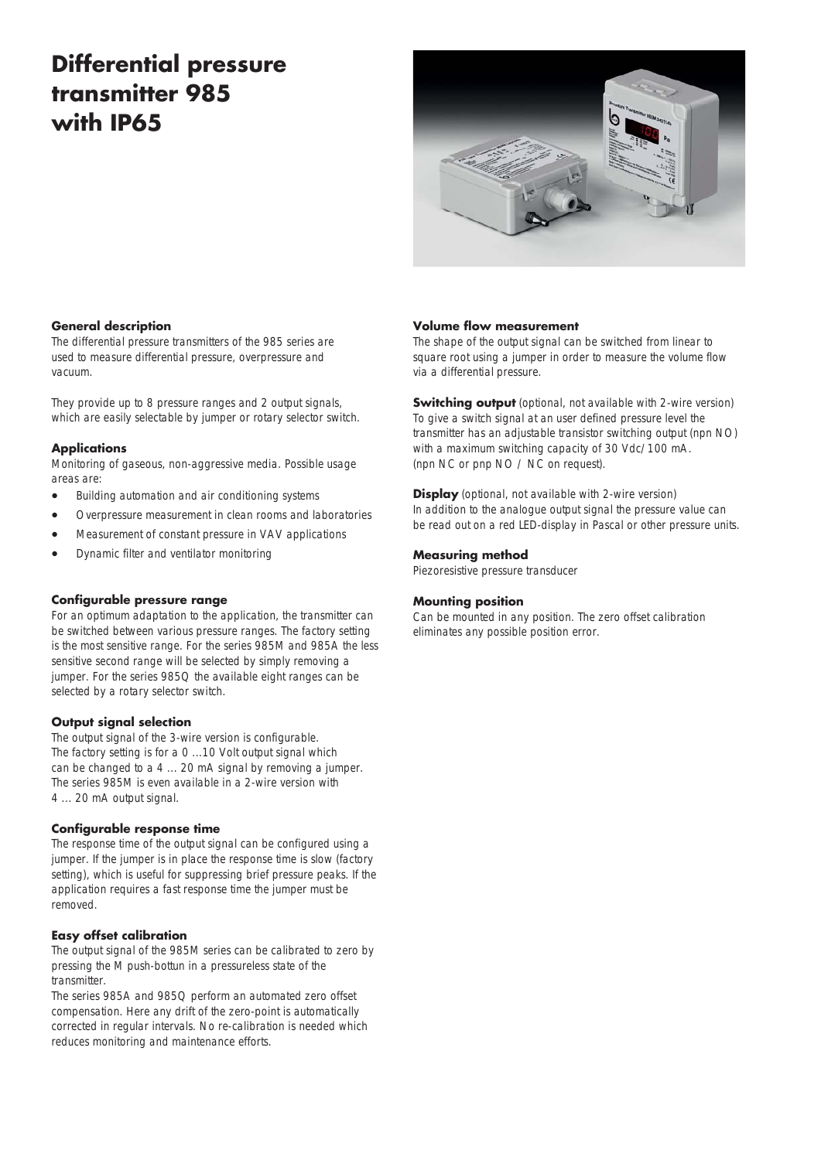# Differential pressure transmitter 985 with IP65



### General description

The differential pressure transmitters of the 985 series are used to measure differential pressure, overpressure and vacuum.

They provide up to 8 pressure ranges and 2 output signals. which are easily selectable by jumper or rotary selector switch.

### **Applications**

Monitoring of gaseous, non-aggressive media. Possible usage areas are:

- Building automation and air conditioning systems
- Overpressure measurement in clean rooms and laboratories
- Measurement of constant pressure in VAV applications
- Dynamic filter and ventilator monitoring

#### Configurable pressure range

For an optimum adaptation to the application, the transmitter can be switched between various pressure ranges. The factory setting is the most sensitive range. For the series 985M and 985A the less sensitive second range will be selected by simply removing a jumper. For the series 985Q the available eight ranges can be selected by a rotary selector switch.

#### Output signal selection

The output signal of the 3-wire version is configurable. The factory setting is for a 0 ...10 Volt output signal which can be changed to a 4 ... 20 mA signal by removing a jumper. The series 985M is even available in a 2-wire version with 4 ... 20 mA output signal.

#### Configurable response time

The response time of the output signal can be configured using a jumper. If the jumper is in place the response time is slow (factory setting), which is useful for suppressing brief pressure peaks. If the application requires a fast response time the jumper must be removed.

#### Easy offset calibration

The output signal of the 985M series can be calibrated to zero by pressing the M push-bottun in a pressureless state of the transmitter.

The series 985A and 985Q perform an automated zero offset compensation. Here any drift of the zero-point is automatically corrected in regular intervals. No re-calibration is needed which reduces monitoring and maintenance efforts.

#### Volume flow measurement

The shape of the output signal can be switched from linear to square root using a jumper in order to measure the volume flow via a differential pressure.

**Switching output** (optional, not available with 2-wire version) To give a switch signal at an user defined pressure level the transmitter has an adjustable transistor switching output (npn NO) with a maximum switching capacity of 30 Vdc/100 mA. (npn NC or pnp NO / NC on request).

**Display** (optional, not available with 2-wire version) In addition to the analogue output signal the pressure value can be read out on a red LED-display in Pascal or other pressure units.

#### Measuring method

Piezoresistive pressure transducer

#### Mounting position

Can be mounted in any position. The zero offset calibration eliminates any possible position error.